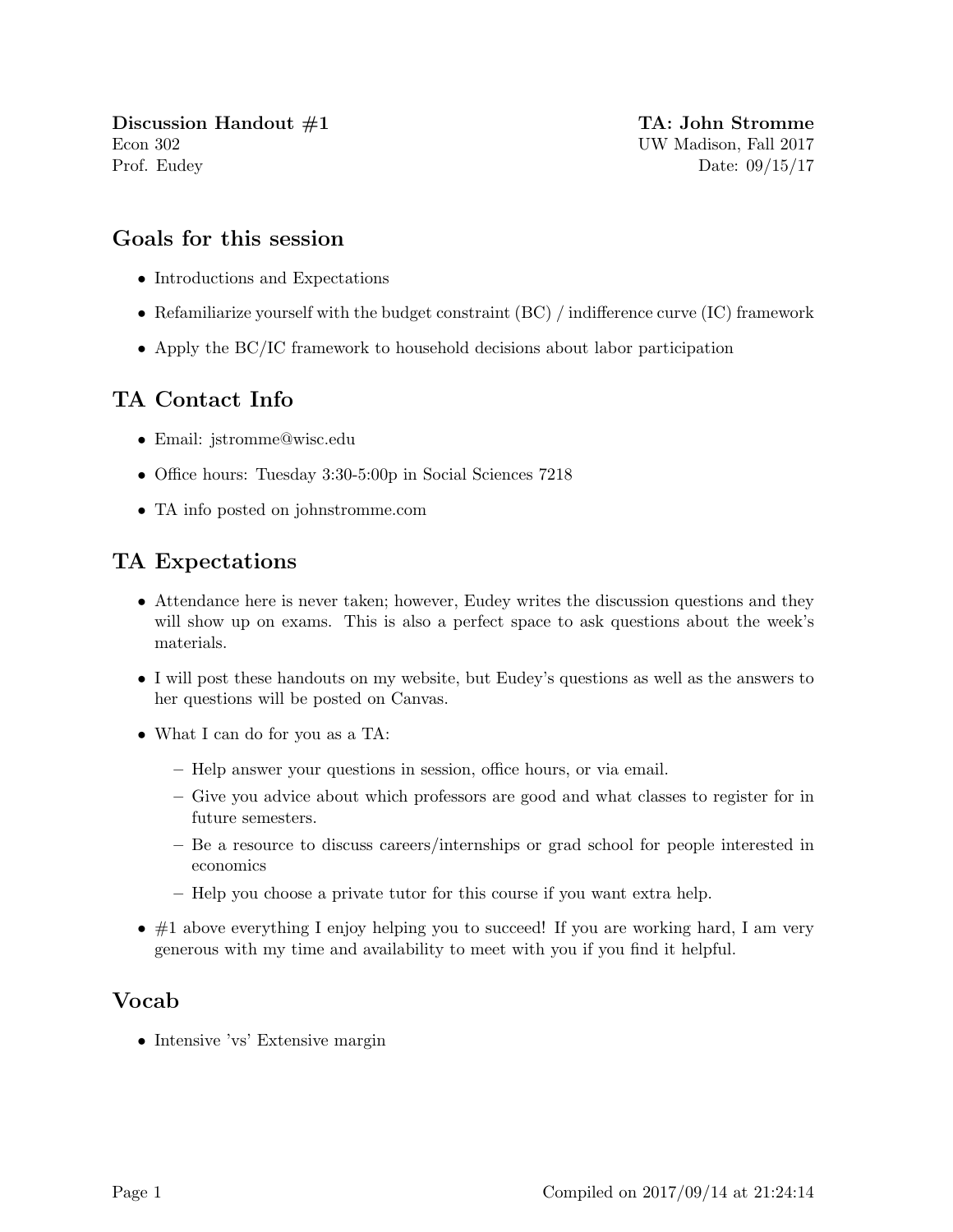Discussion Handout  $\#1$  TA: John Stromme Econ 302 UW Madison, Fall 2017 Prof. Eudey Date: 09/15/17

#### Goals for this session

- Introductions and Expectations
- Refamiliarize yourself with the budget constraint (BC) / indifference curve (IC) framework
- Apply the BC/IC framework to household decisions about labor participation

## TA Contact Info

- Email: jstromme@wisc.edu
- Office hours: Tuesday 3:30-5:00p in Social Sciences 7218
- TA info posted on johnstromme.com

# TA Expectations

- Attendance here is never taken; however, Eudey writes the discussion questions and they will show up on exams. This is also a perfect space to ask questions about the week's materials.
- I will post these handouts on my website, but Eudey's questions as well as the answers to her questions will be posted on Canvas.
- What I can do for you as a TA:
	- Help answer your questions in session, office hours, or via email.
	- Give you advice about which professors are good and what classes to register for in future semesters.
	- Be a resource to discuss careers/internships or grad school for people interested in economics
	- Help you choose a private tutor for this course if you want extra help.
- $\bullet$  #1 above everything I enjoy helping you to succeed! If you are working hard, I am very generous with my time and availability to meet with you if you find it helpful.

### Vocab

• Intensive 'vs' Extensive margin